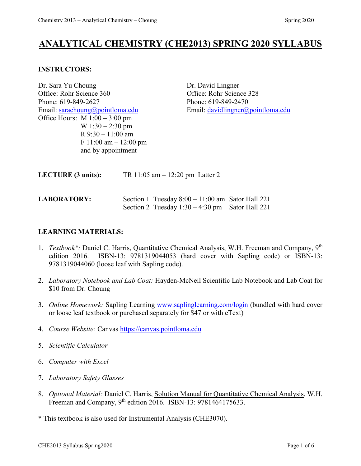# **ANALYTICAL CHEMISTRY (CHE2013) SPRING 2020 SYLLABUS**

#### **INSTRUCTORS:**

Dr. Sara Yu Choung Dr. David Lingner Office: Rohr Science 360 Office: Rohr Science 328 Phone: 619-849-2627 Phone: 619-849-2470 Email: [sarachoung@pointloma.edu](mailto:sarachoung@pointloma.edu) Email: [davidlingner@pointloma.edu](mailto:davidlingner@pointloma.edu) Office Hours:  $M 1:00 - 3:00$  pm W 1:30 – 2:30 pm R  $9:30 - 11:00$  am F 11:00 am – 12:00 pm and by appointment

| <b>LECTURE</b> (3 units): | TR $11:05$ am $-12:20$ pm Latter 2 |
|---------------------------|------------------------------------|
|                           |                                    |

#### **LABORATORY:** Section 1 Tuesday 8:00 – 11:00 am Sator Hall 221 Section 2 Tuesday  $1:30 - 4:30$  pm Sator Hall 221

#### **LEARNING MATERIALS:**

- 1. *Textbook\*:* Daniel C. Harris, Quantitative Chemical Analysis, W.H. Freeman and Company, 9th edition 2016. ISBN-13: 9781319044053 (hard cover with Sapling code) or ISBN-13: 9781319044060 (loose leaf with Sapling code).
- 2. *Laboratory Notebook and Lab Coat:* Hayden-McNeil Scientific Lab Notebook and Lab Coat for \$10 from Dr. Choung
- 3. *Online Homework:* Sapling Learning [www.saplinglearning.com/login](http://www.saplinglearning.com/login) (bundled with hard cover or loose leaf textbook or purchased separately for \$47 or with eText)
- 4. *Course Website:* Canvas [https://canvas.pointloma.edu](https://canvas.pointloma.edu/)
- 5. *Scientific Calculator*
- 6. *Computer with Excel*
- 7. *Laboratory Safety Glasses*
- 8. *Optional Material:* Daniel C. Harris, Solution Manual for Quantitative Chemical Analysis, W.H. Freeman and Company, 9<sup>th</sup> edition 2016. ISBN-13: 9781464175633.
- \* This textbook is also used for Instrumental Analysis (CHE3070).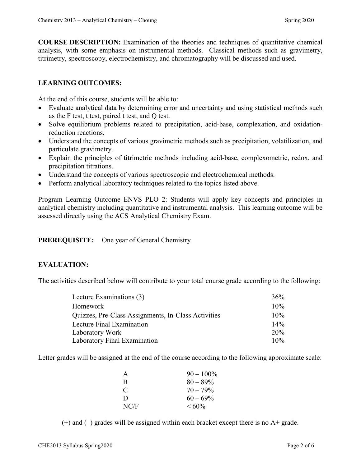**COURSE DESCRIPTION:** Examination of the theories and techniques of quantitative chemical analysis, with some emphasis on instrumental methods. Classical methods such as gravimetry, titrimetry, spectroscopy, electrochemistry, and chromatography will be discussed and used.

### **LEARNING OUTCOMES:**

At the end of this course, students will be able to:

- Evaluate analytical data by determining error and uncertainty and using statistical methods such as the F test, t test, paired t test, and Q test.
- Solve equilibrium problems related to precipitation, acid-base, complexation, and oxidationreduction reactions.
- Understand the concepts of various gravimetric methods such as precipitation, volatilization, and particulate gravimetry.
- Explain the principles of titrimetric methods including acid-base, complexometric, redox, and precipitation titrations.
- Understand the concepts of various spectroscopic and electrochemical methods.
- Perform analytical laboratory techniques related to the topics listed above.

Program Learning Outcome ENVS PLO 2: Students will apply key concepts and principles in analytical chemistry including quantitative and instrumental analysis. This learning outcome will be assessed directly using the ACS Analytical Chemistry Exam.

#### **PREREQUISITE:** One year of General Chemistry

#### **EVALUATION:**

The activities described below will contribute to your total course grade according to the following:

| Lecture Examinations (3)                            | $36\%$ |
|-----------------------------------------------------|--------|
| Homework                                            | $10\%$ |
| Quizzes, Pre-Class Assignments, In-Class Activities | $10\%$ |
| Lecture Final Examination                           | $14\%$ |
| Laboratory Work                                     | 20%    |
| Laboratory Final Examination                        | $10\%$ |

Letter grades will be assigned at the end of the course according to the following approximate scale:

| A    | $90 - 100\%$ |
|------|--------------|
| R    | $80 - 89\%$  |
| C    | $70 - 79\%$  |
| D    | $60 - 69\%$  |
| NC/F | $\leq 60\%$  |

 $(+)$  and  $(-)$  grades will be assigned within each bracket except there is no A+ grade.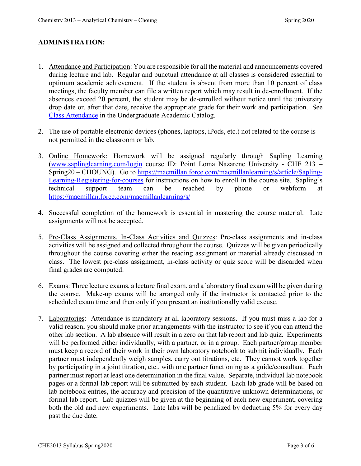#### **ADMINISTRATION:**

- 1. Attendance and Participation: You are responsible for all the material and announcements covered during lecture and lab. Regular and punctual attendance at all classes is considered essential to optimum academic achievement. If the student is absent from more than 10 percent of class meetings, the faculty member can file a written report which may result in de-enrollment. If the absences exceed 20 percent, the student may be de-enrolled without notice until the university drop date or, after that date, receive the appropriate grade for their work and participation. See [Class Attendance](https://catalog.pointloma.edu/content.php?catoid=35&navoid=2136#Class_Attendance) in the Undergraduate Academic Catalog.
- 2. The use of portable electronic devices (phones, laptops, iPods, etc.) not related to the course is not permitted in the classroom or lab.
- 3. Online Homework: Homework will be assigned regularly through Sapling Learning [\(www.saplinglearning.com/login](http://www.saplinglearning.com/login) course ID: Point Loma Nazarene University - CHE 213 – Spring20 – CHOUNG). Go to [https://macmillan.force.com/macmillanlearning/s/article/Sapling-](https://macmillan.force.com/macmillanlearning/s/article/Sapling-Learning-Registering-for-courses)[Learning-Registering-for-courses](https://macmillan.force.com/macmillanlearning/s/article/Sapling-Learning-Registering-for-courses) for instructions on how to enroll in the course site. Sapling's technical support team can be reached by phone or webform at <https://macmillan.force.com/macmillanlearning/s/>
- 4. Successful completion of the homework is essential in mastering the course material. Late assignments will not be accepted.
- 5. Pre-Class Assignments, In-Class Activities and Quizzes: Pre-class assignments and in-class activities will be assigned and collected throughout the course. Quizzes will be given periodically throughout the course covering either the reading assignment or material already discussed in class. The lowest pre-class assignment, in-class activity or quiz score will be discarded when final grades are computed.
- 6. Exams: Three lecture exams, a lecture final exam, and a laboratory final exam will be given during the course. Make-up exams will be arranged only if the instructor is contacted prior to the scheduled exam time and then only if you present an institutionally valid excuse.
- 7. Laboratories: Attendance is mandatory at all laboratory sessions. If you must miss a lab for a valid reason, you should make prior arrangements with the instructor to see if you can attend the other lab section. A lab absence will result in a zero on that lab report and lab quiz. Experiments will be performed either individually, with a partner, or in a group. Each partner/group member must keep a record of their work in their own laboratory notebook to submit individually. Each partner must independently weigh samples, carry out titrations, etc. They cannot work together by participating in a joint titration, etc., with one partner functioning as a guide/consultant. Each partner must report at least one determination in the final value. Separate, individual lab notebook pages or a formal lab report will be submitted by each student. Each lab grade will be based on lab notebook entries, the accuracy and precision of the quantitative unknown determinations, or formal lab report. Lab quizzes will be given at the beginning of each new experiment, covering both the old and new experiments. Late labs will be penalized by deducting 5% for every day past the due date.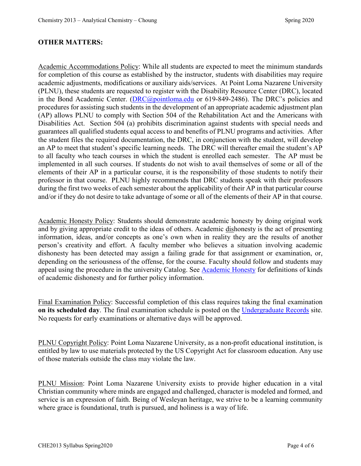#### **OTHER MATTERS:**

Academic Accommodations Policy: While all students are expected to meet the minimum standards for completion of this course as established by the instructor, students with disabilities may require academic adjustments, modifications or auxiliary aids/services. At Point Loma Nazarene University (PLNU), these students are requested to register with the Disability Resource Center (DRC), located in the Bond Academic Center. [\(DRC@pointloma.edu](mailto:DRC@pointloma.edu) or 619-849-2486). The DRC's policies and procedures for assisting such students in the development of an appropriate academic adjustment plan (AP) allows PLNU to comply with Section 504 of the Rehabilitation Act and the Americans with Disabilities Act. Section 504 (a) prohibits discrimination against students with special needs and guarantees all qualified students equal access to and benefits of PLNU programs and activities. After the student files the required documentation, the DRC, in conjunction with the student, will develop an AP to meet that student's specific learning needs. The DRC will thereafter email the student's AP to all faculty who teach courses in which the student is enrolled each semester. The AP must be implemented in all such courses. If students do not wish to avail themselves of some or all of the elements of their AP in a particular course, it is the responsibility of those students to notify their professor in that course. PLNU highly recommends that DRC students speak with their professors during the first two weeks of each semester about the applicability of their AP in that particular course and/or if they do not desire to take advantage of some or all of the elements of their AP in that course.

Academic Honesty Policy: Students should demonstrate academic honesty by doing original work and by giving appropriate credit to the ideas of others. Academic dishonesty is the act of presenting information, ideas, and/or concepts as one's own when in reality they are the results of another person's creativity and effort. A faculty member who believes a situation involving academic dishonesty has been detected may assign a failing grade for that assignment or examination, or, depending on the seriousness of the offense, for the course. Faculty should follow and students may appeal using the procedure in the university Catalog. See [Academic Honesty](https://catalog.pointloma.edu/content.php?catoid=41&navoid=2435#Academic_Honesty) for definitions of kinds of academic dishonesty and for further policy information.

Final Examination Policy: Successful completion of this class requires taking the final examination **on its scheduled day**. The final examination schedule is posted on the [Undergraduate Records](https://www.pointloma.edu/offices/records/undergraduate-records) site. No requests for early examinations or alternative days will be approved.

PLNU Copyright Policy: Point Loma Nazarene University, as a non-profit educational institution, is entitled by law to use materials protected by the US Copyright Act for classroom education. Any use of those materials outside the class may violate the law.

PLNU Mission: Point Loma Nazarene University exists to provide higher education in a vital Christian community where minds are engaged and challenged, character is modeled and formed, and service is an expression of faith. Being of Wesleyan heritage, we strive to be a learning community where grace is foundational, truth is pursued, and holiness is a way of life.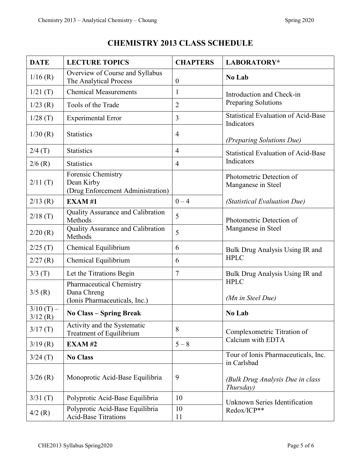| <b>DATE</b>            | <b>LECTURE TOPICS</b>                                                    | <b>CHAPTERS</b>  | LABORATORY*                                              |  |
|------------------------|--------------------------------------------------------------------------|------------------|----------------------------------------------------------|--|
| 1/16(R)                | Overview of Course and Syllabus<br>The Analytical Process                | $\boldsymbol{0}$ | No Lab                                                   |  |
| 1/21(T)                | <b>Chemical Measurements</b>                                             | $\mathbf{1}$     | Introduction and Check-in                                |  |
| 1/23(R)                | Tools of the Trade                                                       | $\overline{2}$   | Preparing Solutions                                      |  |
| 1/28(T)                | <b>Experimental Error</b>                                                | 3                | <b>Statistical Evaluation of Acid-Base</b><br>Indicators |  |
| 1/30(R)                | <b>Statistics</b>                                                        | $\overline{4}$   | (Preparing Solutions Due)                                |  |
| 2/4(T)                 | <b>Statistics</b>                                                        | $\overline{4}$   | <b>Statistical Evaluation of Acid-Base</b>               |  |
| 2/6(R)                 | <b>Statistics</b>                                                        | $\overline{4}$   | Indicators                                               |  |
| 2/11(T)                | Forensic Chemistry<br>Dean Kirby<br>(Drug Enforcement Administration)    |                  | Photometric Detection of<br>Manganese in Steel           |  |
| $2/13$ (R)             | <b>EXAM#1</b>                                                            | $0 - 4$          | (Statistical Evaluation Due)                             |  |
| 2/18(T)                | Quality Assurance and Calibration<br>Methods                             | 5                | Photometric Detection of                                 |  |
| 2/20(R)                | Quality Assurance and Calibration<br>Methods                             | 5                | Manganese in Steel                                       |  |
| 2/25(T)                | Chemical Equilibrium                                                     | 6                | Bulk Drug Analysis Using IR and                          |  |
| 2/27(R)                | Chemical Equilibrium                                                     | 6                | <b>HPLC</b>                                              |  |
| 3/3(T)                 | Let the Titrations Begin                                                 | $\tau$           | Bulk Drug Analysis Using IR and                          |  |
| 3/5(R)                 | Pharmaceutical Chemistry<br>Dana Chreng<br>(Ionis Pharmaceuticals, Inc.) |                  | <b>HPLC</b><br>(Mn in Steel Due)                         |  |
| $3/10(T)$ –<br>3/12(R) | <b>No Class – Spring Break</b>                                           |                  | No Lab                                                   |  |
| 3/17(T)                | Activity and the Systematic<br>Treatment of Equilibrium                  | 8                | Complexometric Titration of<br>Calcium with EDTA         |  |
| 3/19(R)                | <b>EXAM#2</b>                                                            | $5 - 8$          |                                                          |  |
| 3/24(T)                | <b>No Class</b>                                                          |                  | Tour of Ionis Pharmaceuticals, Inc.<br>in Carlsbad       |  |
| $3/26$ (R)             | Monoprotic Acid-Base Equilibria                                          | 9                | (Bulk Drug Analysis Due in class<br>Thursday)            |  |
| 3/31(T)                | Polyprotic Acid-Base Equilibria                                          | 10               | Unknown Series Identification<br>Redox/ICP**             |  |
| $4/2$ (R)              | Polyprotic Acid-Base Equilibria<br><b>Acid-Base Titrations</b>           | 10<br>11         |                                                          |  |

## **CHEMISTRY 2013 CLASS SCHEDULE**